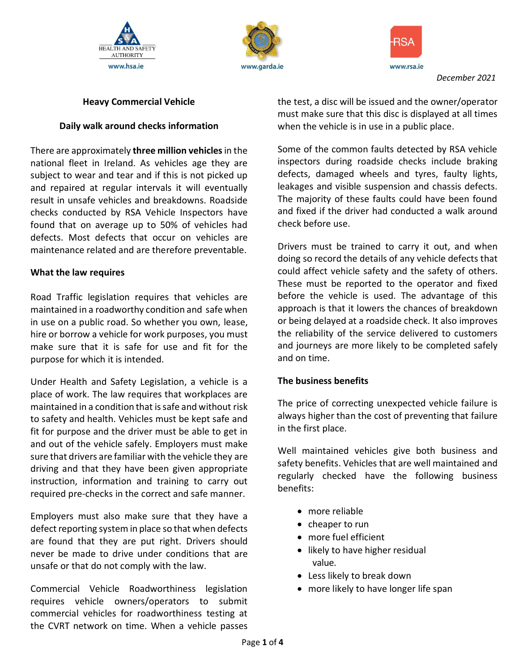



www.rsa.ie

*December 2021*

### **Heavy Commercial Vehicle**

#### **Daily walk around checks information**

There are approximately **three million vehicles**in the national fleet in Ireland. As vehicles age they are subject to wear and tear and if this is not picked up and repaired at regular intervals it will eventually result in unsafe vehicles and breakdowns. Roadside checks conducted by RSA Vehicle Inspectors have found that on average up to 50% of vehicles had defects. Most defects that occur on vehicles are maintenance related and are therefore preventable.

#### **What the law requires**

Road Traffic legislation requires that vehicles are maintained in a roadworthy condition and safe when in use on a public road. So whether you own, lease, hire or borrow a vehicle for work purposes, you must make sure that it is safe for use and fit for the purpose for which it is intended.

Under Health and Safety Legislation, a vehicle is a place of work. The law requires that workplaces are maintained in a condition that is safe and without risk to safety and health. Vehicles must be kept safe and fit for purpose and the driver must be able to get in and out of the vehicle safely. Employers must make sure that drivers are familiar with the vehicle they are driving and that they have been given appropriate instruction, information and training to carry out required pre-checks in the correct and safe manner.

Employers must also make sure that they have a defect reporting system in place so that when defects are found that they are put right. Drivers should never be made to drive under conditions that are unsafe or that do not comply with the law.

Commercial Vehicle Roadworthiness legislation requires vehicle owners/operators to submit commercial vehicles for roadworthiness testing at the CVRT network on time. When a vehicle passes the test, a disc will be issued and the owner/operator must make sure that this disc is displayed at all times when the vehicle is in use in a public place.

Some of the common faults detected by RSA vehicle inspectors during roadside checks include braking defects, damaged wheels and tyres, faulty lights, leakages and visible suspension and chassis defects. The majority of these faults could have been found and fixed if the driver had conducted a walk around check before use.

Drivers must be trained to carry it out, and when doing so record the details of any vehicle defects that could affect vehicle safety and the safety of others. These must be reported to the operator and fixed before the vehicle is used. The advantage of this approach is that it lowers the chances of breakdown or being delayed at a roadside check. It also improves the reliability of the service delivered to customers and journeys are more likely to be completed safely and on time.

### **The business benefits**

The price of correcting unexpected vehicle failure is always higher than the cost of preventing that failure in the first place.

Well maintained vehicles give both business and safety benefits. Vehicles that are well maintained and regularly checked have the following business benefits:

- more reliable
- cheaper to run
- more fuel efficient
- likely to have higher residual value.
- Less likely to break down
- more likely to have longer life span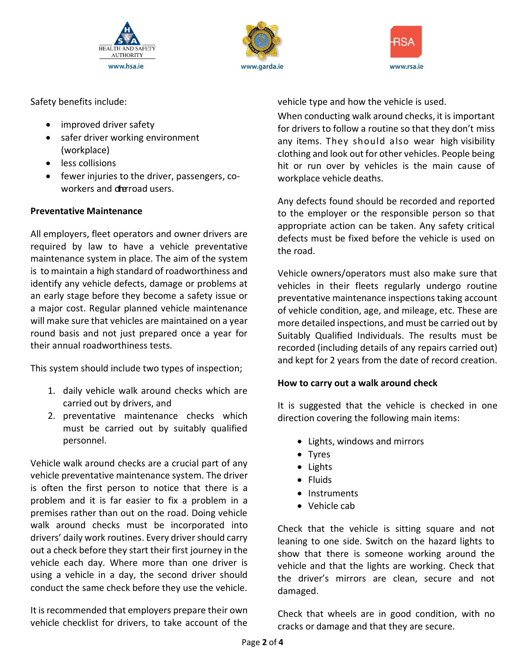





Safety benefits include:

- improved driver safety
- safer driver working environment (workplace)
- less collisions
- fewer injuries to the driver, passengers, coworkers and dreroad users.

## **Preventative Maintenance**

All employers, fleet operators and owner drivers are required by law to have a vehicle preventative maintenance system in place. The aim of the system is to maintain a high standard of roadworthiness and identify any vehicle defects, damage or problems at an early stage before they become a safety issue or a major cost. Regular planned vehicle maintenance will make sure that vehicles are maintained on a year round basis and not just prepared once a year for their annual roadworthiness tests.

This system should include two types of inspection;

- 1. daily vehicle walk around checks which are carried out by drivers, and
- 2. preventative maintenance checks which must be carried out by suitably qualified personnel.

Vehicle walk around checks are a crucial part of any vehicle preventative maintenance system. The driver is often the first person to notice that there is a problem and it is far easier to fix a problem in a premises rather than out on the road. Doing vehicle walk around checks must be incorporated into drivers' daily work routines. Every driver should carry out a check before they start their first journey in the vehicle each day. Where more than one driver is using a vehicle in a day, the second driver should conduct the same check before they use the vehicle.

It is recommended that employers prepare their own vehicle checklist for drivers, to take account of the vehicle type and how the vehicle is used.

When conducting walk around checks, it is important for drivers to follow a routine so that they don't miss any items. They should also wear high visibility clothing and look out for other vehicles. People being hit or run over by vehicles is the main cause of workplace vehicle deaths.

Any defects found should be recorded and reported to the employer or the responsible person so that appropriate action can be taken. Any safety critical defects must be fixed before the vehicle is used on the road.

Vehicle owners/operators must also make sure that vehicles in their fleets regularly undergo routine preventative maintenance inspections taking account of vehicle condition, age, and mileage, etc. These are more detailed inspections, and must be carried out by Suitably Qualified Individuals. The results must be recorded (including details of any repairs carried out) and kept for 2 years from the date of record creation.

# **How to carry out a walk around check**

It is suggested that the vehicle is checked in one direction covering the following main items:

- Lights, windows and mirrors
- Tyres
- Lights
- Fluids
- Instruments
- Vehicle cab

Check that the vehicle is sitting square and not leaning to one side. Switch on the hazard lights to show that there is someone working around the vehicle and that the lights are working. Check that the driver's mirrors are clean, secure and not damaged.

Check that wheels are in good condition, with no cracks or damage and that they are secure.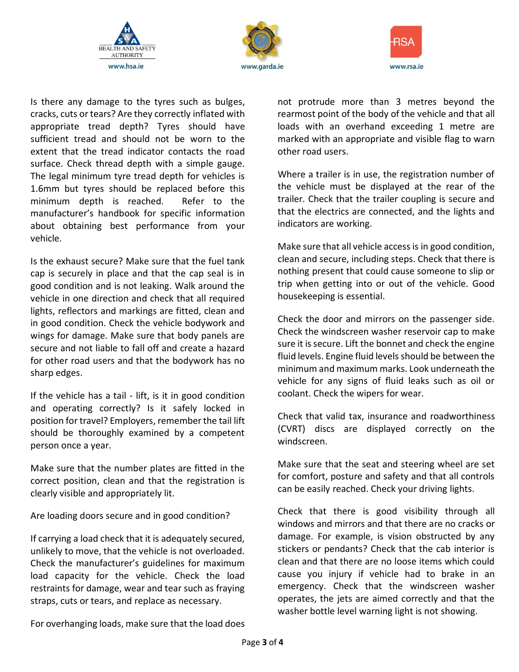





Is there any damage to the tyres such as bulges, cracks, cuts or tears? Are they correctly inflated with appropriate tread depth? Tyres should have sufficient tread and should not be worn to the extent that the tread indicator contacts the road surface. Check thread depth with a simple gauge. The legal minimum tyre tread depth for vehicles is 1.6mm but tyres should be replaced before this minimum depth is reached. Refer to the manufacturer's handbook for specific information about obtaining best performance from your vehicle.

Is the exhaust secure? Make sure that the fuel tank cap is securely in place and that the cap seal is in good condition and is not leaking. Walk around the vehicle in one direction and check that all required lights, reflectors and markings are fitted, clean and in good condition. Check the vehicle bodywork and wings for damage. Make sure that body panels are secure and not liable to fall off and create a hazard for other road users and that the bodywork has no sharp edges.

If the vehicle has a tail - lift, is it in good condition and operating correctly? Is it safely locked in position for travel? Employers, remember the tail lift should be thoroughly examined by a competent person once a year.

Make sure that the number plates are fitted in the correct position, clean and that the registration is clearly visible and appropriately lit.

Are loading doors secure and in good condition?

If carrying a load check that it is adequately secured, unlikely to move, that the vehicle is not overloaded. Check the manufacturer's guidelines for maximum load capacity for the vehicle. Check the load restraints for damage, wear and tear such as fraying straps, cuts or tears, and replace as necessary.

not protrude more than 3 metres beyond the rearmost point of the body of the vehicle and that all loads with an overhand exceeding 1 metre are marked with an appropriate and visible flag to warn other road users.

Where a trailer is in use, the registration number of the vehicle must be displayed at the rear of the trailer. Check that the trailer coupling is secure and that the electrics are connected, and the lights and indicators are working.

Make sure that all vehicle accessis in good condition, clean and secure, including steps. Check that there is nothing present that could cause someone to slip or trip when getting into or out of the vehicle. Good housekeeping is essential.

Check the door and mirrors on the passenger side. Check the windscreen washer reservoir cap to make sure it is secure. Lift the bonnet and check the engine fluid levels. Engine fluid levels should be between the minimum and maximum marks. Look underneath the vehicle for any signs of fluid leaks such as oil or coolant. Check the wipers for wear.

Check that valid tax, insurance and roadworthiness (CVRT) discs are displayed correctly on the windscreen.

Make sure that the seat and steering wheel are set for comfort, posture and safety and that all controls can be easily reached. Check your driving lights.

Check that there is good visibility through all windows and mirrors and that there are no cracks or damage. For example, is vision obstructed by any stickers or pendants? Check that the cab interior is clean and that there are no loose items which could cause you injury if vehicle had to brake in an emergency. Check that the windscreen washer operates, the jets are aimed correctly and that the washer bottle level warning light is not showing.

For overhanging loads, make sure that the load does